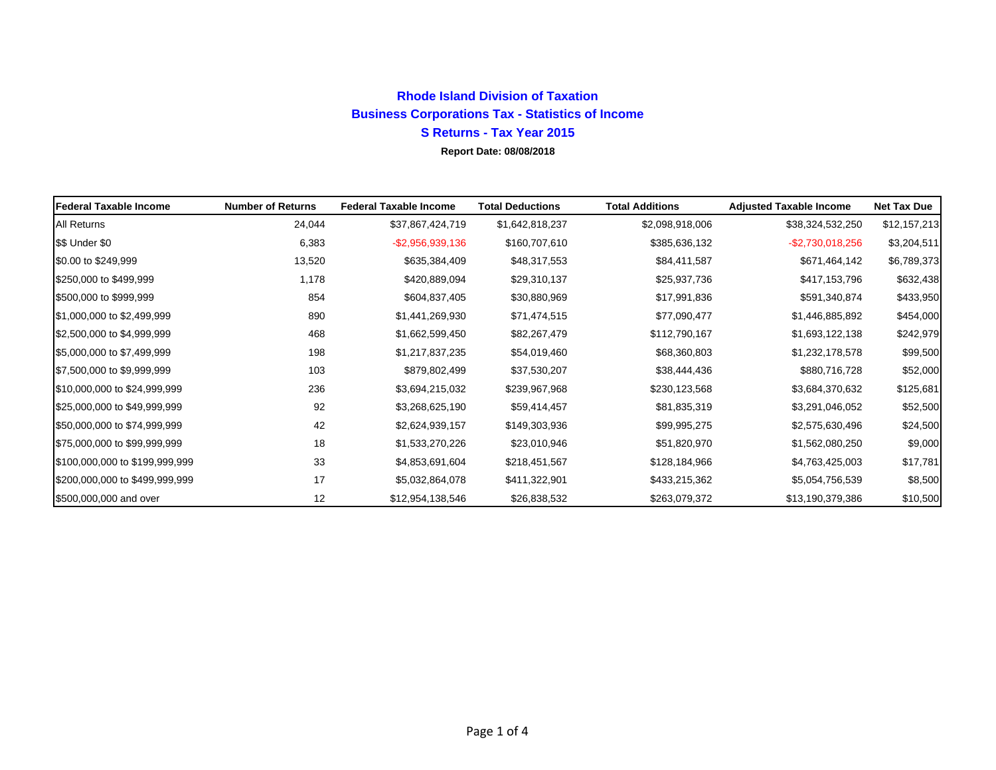## **Rhode Island Division of TaxationBusiness Corporations Tax - Statistics of Income S Returns - Tax Year 2015Report Date: 08/08/2018**

**Federal Taxable Income Number of Returns Federal Taxable Income Total Deductions Total Additions Adjusted Taxable Income Net Tax Due** All Returns 24,044 \$37,867,424,719 \$1,642,818,237 \$2,098,918,006 \$38,324,532,250 \$12,157,213 \$\$ Under \$0 6,383 -\$2,956,939,136 \$160,707,610 \$385,636,132 -\$2,730,018,256 \$3,204,511 \$0.00 to \$249,999 13,520 \$635,384,409 \$48,317,553 \$84,411,587 \$671,464,142 \$6,789,373 \$250,000 to \$499,999 1,178 \$420,889,094 \$29,310,137 \$25,937,736 \$417,153,796 \$632,438 \$500,000 to \$999,999 854 \$604,837,405 \$30,880,969 \$17,991,836 \$591,340,874 \$433,950  $$1,000,000$  to  $$2,499,999$   $$1,440,269,930$   $$71,474,515$   $$77,090,477$   $$1,446,885,892$   $$454,000$  $$2,500,000$  to  $$4,999,999$   $$468$   $$1,662,599,450$   $$82,267,479$   $$112,790,167$   $$1,693,122,138$   $$242,979$  $$5,000,000$  to  $$7,499,999$   $$1,217,837,235$   $$54,019,460$   $$68,360,803$   $$1,232,178,578$   $$99,500$ \$7,500,000 to \$9,999,999 103 \$879,802,499 \$37,530,207 \$38,444,436 \$880,716,728 \$52,000  $$10,000,000$  to  $$24,999,999$   $$236$   $$3,694,215,032$   $$239,967,968$   $$230,123,568$   $$3,684,370,632$   $$125,681$ \$25,000,000 to \$49,999,999 92 \$3,268,625,190 \$59,414,457 \$81,835,319 \$3,291,046,052 \$52,500  $$50,000,000$  to  $$74,999,999$   $$24,500$   $$42$   $$2,624,939,157$   $$149,303,936$   $$99,995,275$   $$2,575,630,496$   $$24,500$  $$75,000,000$  to  $$99,999,999$   $$1,533,270,226$   $$23,010,946$   $$51,820,970$   $$1,562,080,250$   $$9,000$ \$100,000,000 to \$199,999,999 33 \$4,853,691,604 \$218,451,567 \$128,184,966 \$4,763,425,003 \$17,781  $$200,000,000$  to  $$499,999,999$   $$41,322,864,078$   $$411,322,901$   $$433,215,362$   $$5,054,756,539$   $$8,500$ \$500,000,000 and over 12 \$12,954,138,546 \$26,838,532 \$263,079,372 \$13,190,379,386 \$10,500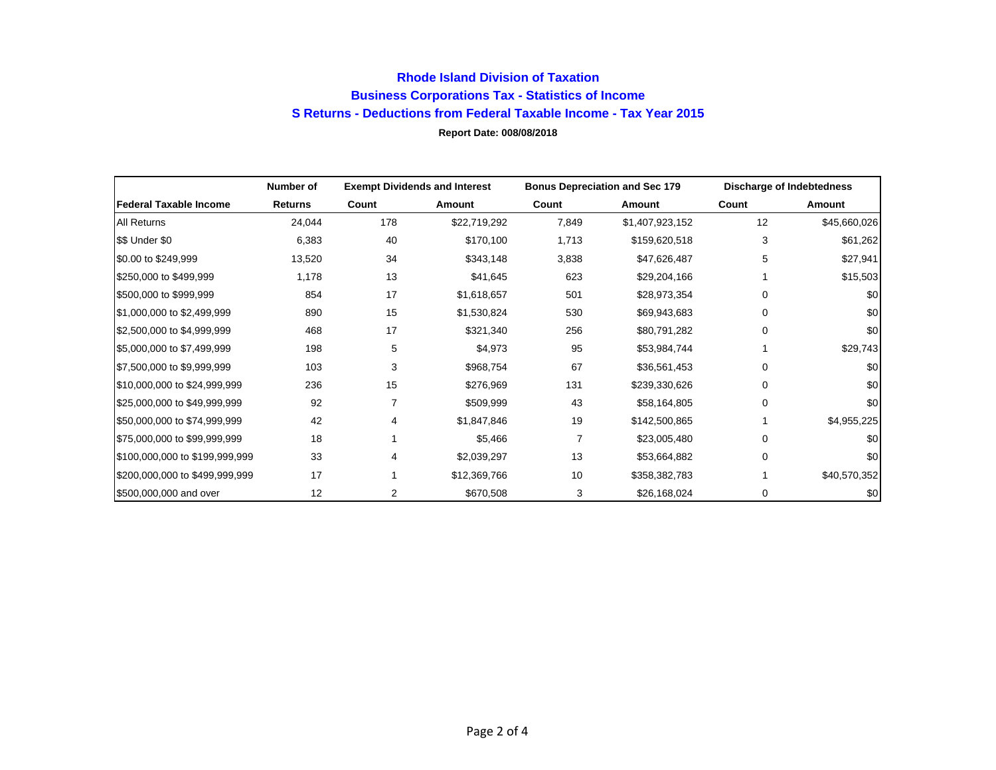## **Rhode Island Division of Taxation Business Corporations Tax - Statistics of Income S Returns - Deductions from Federal Taxable Income - Tax Year 2015 Report Date: 008/08/2018**

|                                | Number of      | <b>Exempt Dividends and Interest</b> |              | <b>Bonus Depreciation and Sec 179</b> |                 | Discharge of Indebtedness |              |
|--------------------------------|----------------|--------------------------------------|--------------|---------------------------------------|-----------------|---------------------------|--------------|
| <b>Federal Taxable Income</b>  | <b>Returns</b> | Count                                | Amount       | Count                                 | Amount          | Count                     | Amount       |
| All Returns                    | 24,044         | 178                                  | \$22,719,292 | 7,849                                 | \$1,407,923,152 | 12                        | \$45,660,026 |
| \$\$ Under \$0                 | 6,383          | 40                                   | \$170,100    | 1,713                                 | \$159,620,518   | 3                         | \$61,262     |
| \$0.00 to \$249,999            | 13,520         | 34                                   | \$343,148    | 3,838                                 | \$47,626,487    | 5                         | \$27,941     |
| \$250,000 to \$499,999         | 1,178          | 13                                   | \$41,645     | 623                                   | \$29,204,166    |                           | \$15,503     |
| \$500,000 to \$999,999         | 854            | 17                                   | \$1,618,657  | 501                                   | \$28,973,354    | 0                         | \$0          |
| \$1,000,000 to \$2,499,999     | 890            | 15                                   | \$1,530,824  | 530                                   | \$69,943,683    | 0                         | \$0          |
| \$2,500,000 to \$4,999,999     | 468            | 17                                   | \$321,340    | 256                                   | \$80,791,282    | 0                         | \$0          |
| \$5,000,000 to \$7,499,999     | 198            | 5                                    | \$4,973      | 95                                    | \$53,984,744    |                           | \$29,743     |
| \$7,500,000 to \$9,999,999     | 103            | 3                                    | \$968,754    | 67                                    | \$36,561,453    | 0                         | \$0          |
| \$10,000,000 to \$24,999,999   | 236            | 15                                   | \$276,969    | 131                                   | \$239,330,626   | 0                         | \$0          |
| \$25,000,000 to \$49,999,999   | 92             | 7                                    | \$509,999    | 43                                    | \$58,164,805    | 0                         | \$0          |
| \$50,000,000 to \$74,999,999   | 42             | 4                                    | \$1,847,846  | 19                                    | \$142,500,865   |                           | \$4,955,225  |
| \$75,000,000 to \$99,999,999   | 18             |                                      | \$5,466      |                                       | \$23,005,480    | 0                         | \$0          |
| \$100,000,000 to \$199,999,999 | 33             | 4                                    | \$2,039,297  | 13                                    | \$53,664,882    | 0                         | \$0          |
| \$200,000,000 to \$499,999,999 | 17             |                                      | \$12,369,766 | 10                                    | \$358,382,783   |                           | \$40,570,352 |
| \$500,000,000 and over         | 12             | 2                                    | \$670,508    | 3                                     | \$26,168,024    | 0                         | \$0          |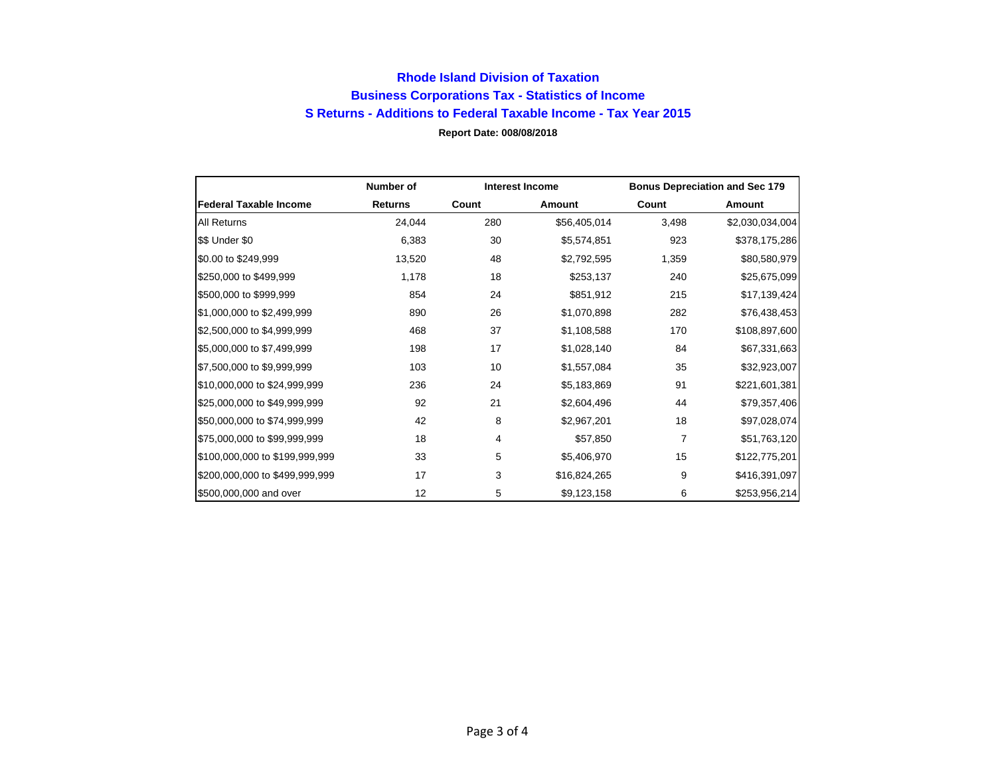## **Rhode Island Division of Taxation Business Corporations Tax - Statistics of Income S Returns - Additions to Federal Taxable Income - Tax Year 2015 Report Date: 008/08/2018**

|                                | Number of      | <b>Interest Income</b> |               | <b>Bonus Depreciation and Sec 179</b> |                 |
|--------------------------------|----------------|------------------------|---------------|---------------------------------------|-----------------|
| <b>Federal Taxable Income</b>  | <b>Returns</b> | Count                  | <b>Amount</b> | Count                                 | Amount          |
| All Returns                    | 24,044         | 280                    | \$56,405,014  | 3,498                                 | \$2,030,034,004 |
| \$\$ Under \$0                 | 6,383          | 30                     | \$5,574,851   | 923                                   | \$378,175,286   |
| \$0.00 to \$249,999            | 13,520         | 48                     | \$2,792,595   | 1,359                                 | \$80,580,979    |
| \$250,000 to \$499,999         | 1,178          | 18                     | \$253,137     | 240                                   | \$25,675,099    |
| \$500,000 to \$999,999         | 854            | 24                     | \$851,912     | 215                                   | \$17,139,424    |
| \$1,000,000 to \$2,499,999     | 890            | 26                     | \$1,070,898   | 282                                   | \$76,438,453    |
| \$2,500,000 to \$4,999,999     | 468            | 37                     | \$1,108,588   | 170                                   | \$108,897,600   |
| \$5,000,000 to \$7,499,999     | 198            | 17                     | \$1,028,140   | 84                                    | \$67,331,663    |
| \$7,500,000 to \$9,999,999     | 103            | 10                     | \$1,557,084   | 35                                    | \$32,923,007    |
| \$10,000,000 to \$24,999,999   | 236            | 24                     | \$5,183,869   | 91                                    | \$221,601,381   |
| \$25,000,000 to \$49,999,999   | 92             | 21                     | \$2,604,496   | 44                                    | \$79,357,406    |
| \$50,000,000 to \$74,999,999   | 42             | 8                      | \$2,967,201   | 18                                    | \$97,028,074    |
| \$75,000,000 to \$99,999,999   | 18             | 4                      | \$57,850      | 7                                     | \$51,763,120    |
| \$100,000,000 to \$199,999,999 | 33             | 5                      | \$5,406,970   | 15                                    | \$122,775,201   |
| \$200,000,000 to \$499,999,999 | 17             | 3                      | \$16,824,265  | 9                                     | \$416,391,097   |
| \$500,000,000 and over         | 12             | 5                      | \$9,123,158   | 6                                     | \$253,956,214   |